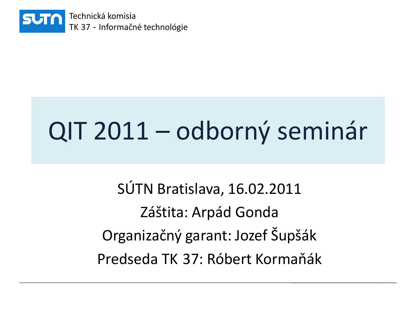

# QIT 2011 – odborný seminár

SÚTN Bratislava, 16.02.2011 Záštita: Arpád Gonda Organizačný garant: Jozef Šupšák Predseda TK 37: Róbert Kormaňák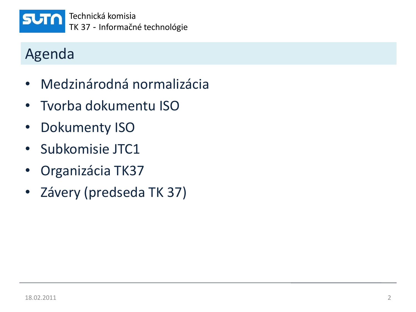

Technická komisia TK 37 - Informačné technológie

## Agenda

- Medzinárodná normalizácia
- Tvorba dokumentu ISO
- Dokumenty ISO
- Subkomisie JTC1
- Organizácia TK37
- Závery (predseda TK 37)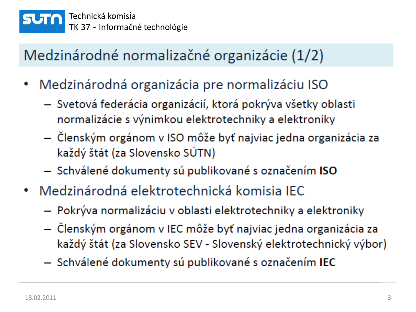

# Medzinárodné normalizačné organizácie (1/2)

- Medzinárodná organizácia pre normalizáciu ISO
	- Svetová federácia organizácií, ktorá pokrýva všetky oblasti normalizácie s výnimkou elektrotechniky a elektroniky
	- Členským orgánom v ISO môže byť najviac jedna organizácia za každý štát (za Slovensko SÚTN)
	- Schválené dokumenty sú publikované s označením ISO
- Medzinárodná elektrotechnická komisia IEC
	- Pokrýva normalizáciu v oblasti elektrotechniky a elektroniky
	- Členským orgánom v IEC môže byť najviac jedna organizácia za každý štát (za Slovensko SEV - Slovenský elektrotechnický výbor)
	- Schválené dokumenty sú publikované s označením IEC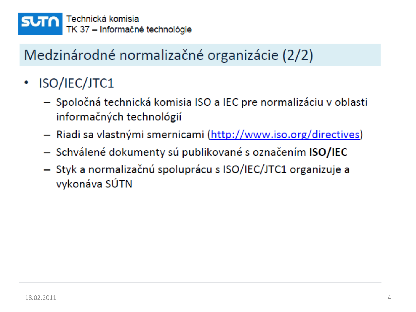

## Medzinárodné normalizačné organizácie (2/2)

- ISO/IEC/JTC1  $\bullet$ 
	- Spoločná technická komisia ISO a IEC pre normalizáciu v oblasti informačných technológií
	- Riadi sa vlastnými smernicami (http://www.iso.org/directives)
	- Schválené dokumenty sú publikované s označením ISO/IEC
	- Styk a normalizačnú spoluprácu s ISO/IEC/JTC1 organizuje a vykonáva SÚTN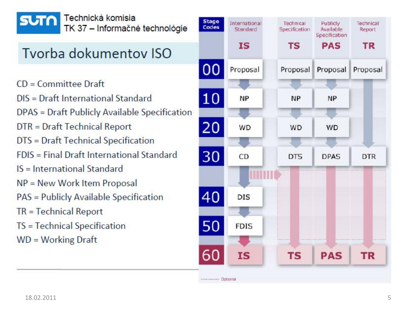

Technická komisia TK 37 - Informačné technológie

#### Tvorba dokumentov ISO

- $CD = Committee$
- DIS = Draft International Standard
- DPAS = Draft Publicly Available Specification
- DTR = Draft Technical Report
- DTS = Draft Technical Specification
- FDIS = Final Draft International Standard
- IS = International Standard
- NP = New Work Item Proposal
- PAS = Publicly Available Specification
- $TR = Technical Report$
- TS = Technical Specification
- $WD = Working Draft$

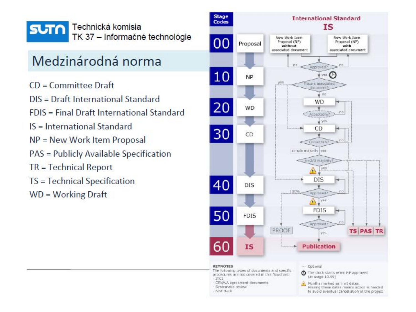

#### Medzinárodná norma

- $CD = Committee$
- DIS = Draft International Standard
- FDIS = Final Draft International Standard
- IS = International Standard
- $NP = New Work Item Proposal$
- PAS = Publicly Available Specification
- $TR = Technical Report$
- TS = Technical Specification
- $WD = Working Draft$

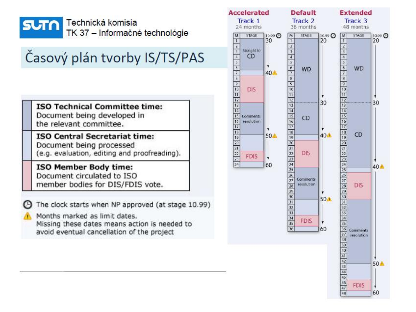

# Časový plán tvorby IS/TS/PAS

**ISO Technical Committee time:** Document being developed in the relevant committee.

**ISO Central Secretariat time:** Document being processed (e.g. evaluation, editing and proofreading).

ISO Member Body time: Document circulated to ISO member bodies for DIS/FDIS vote.

The clock starts when NP approved (at stage 10.99)

Months marked as limit dates. Missing these dates means action is needed to avoid eventual cancellation of the project

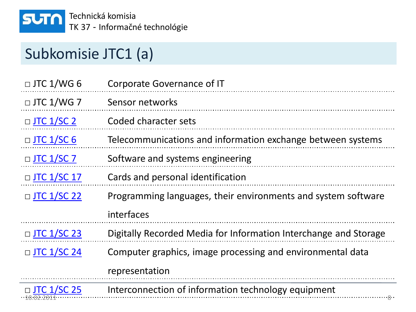

## Subkomisie JTC1 (a)

| $\Box$ JTC 1/WG 6  | <b>Corporate Governance of IT</b>                                |
|--------------------|------------------------------------------------------------------|
| $\Box$ JTC 1/WG 7  | Sensor networks                                                  |
| $\Box$ JTC 1/SC 2  | Coded character sets                                             |
| $\Box$ JTC 1/SC 6  | Telecommunications and information exchange between systems      |
| $\Box$ JTC 1/SC 7  | Software and systems engineering                                 |
| $\Box$ JTC 1/SC 17 | Cards and personal identification                                |
| $\Box$ JTC 1/SC 22 | Programming languages, their environments and system software    |
|                    | interfaces                                                       |
| $\Box$ JTC 1/SC 23 | Digitally Recorded Media for Information Interchange and Storage |
| $\Box$ JTC 1/SC 24 | Computer graphics, image processing and environmental data       |
|                    | representation                                                   |
| $\Box$ JTC 1/SC 25 | Interconnection of information technology equipment              |

18.02.2011 8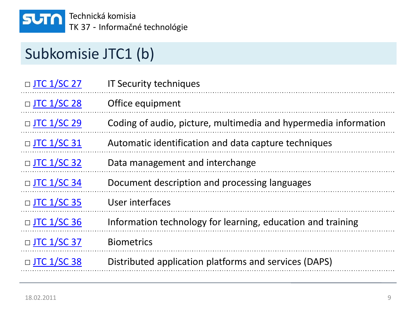

## Subkomisie JTC1 (b)

| $\Box$ JTC 1/SC 27 | <b>IT Security techniques</b>                                   |
|--------------------|-----------------------------------------------------------------|
| □ JTC 1/SC 28      | Office equipment                                                |
| $\Box$ JTC 1/SC 29 | Coding of audio, picture, multimedia and hypermedia information |
| $\Box$ JTC 1/SC 31 | Automatic identification and data capture techniques            |
| $\Box$ JTC 1/SC 32 | Data management and interchange                                 |
| □ JTC 1/SC 34      | Document description and processing languages                   |
| $\Box$ JTC 1/SC 35 | User interfaces                                                 |
| $\Box$ JTC 1/SC 36 | Information technology for learning, education and training     |
| $\Box$ JTC 1/SC 37 | <b>Biometrics</b>                                               |
| $\Box$ JTC 1/SC 38 | Distributed application platforms and services (DAPS)           |
|                    |                                                                 |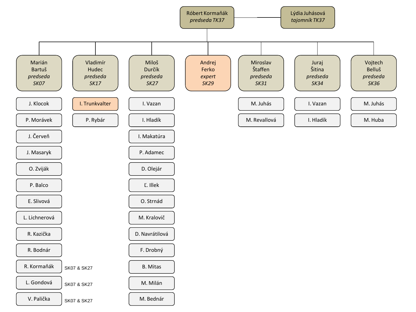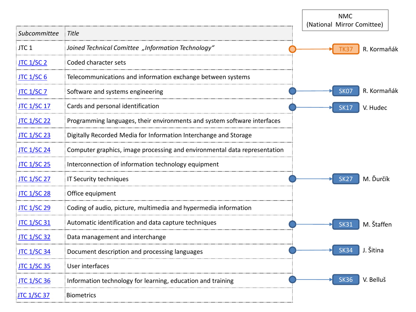|                    |                                                                           |  | <b>NMC</b><br>(National Mirror Comittee) |                  |             |  |
|--------------------|---------------------------------------------------------------------------|--|------------------------------------------|------------------|-------------|--|
| Subcommittee       | <b>Title</b>                                                              |  |                                          |                  |             |  |
| JTC <sub>1</sub>   | Joined Technical Comittee "Information Technology"                        |  |                                          | TK3              | R. Kormaňák |  |
| <b>JTC 1/SC 2</b>  | Coded character sets                                                      |  |                                          |                  |             |  |
| <b>JTC 1/SC 6</b>  | Telecommunications and information exchange between systems               |  |                                          |                  |             |  |
| <b>JTC 1/SC 7</b>  | Software and systems engineering                                          |  |                                          | SK <sub>07</sub> | R. Kormaňák |  |
| <b>JTC 1/SC 17</b> | Cards and personal identification                                         |  |                                          | <b>SK17</b>      | V. Hudec    |  |
| <b>JTC 1/SC 22</b> | Programming languages, their environments and system software interfaces  |  |                                          |                  |             |  |
| <b>JTC 1/SC 23</b> | Digitally Recorded Media for Information Interchange and Storage          |  |                                          |                  |             |  |
| <b>JTC 1/SC 24</b> | Computer graphics, image processing and environmental data representation |  |                                          |                  |             |  |
| <b>JTC 1/SC 25</b> | Interconnection of information technology equipment                       |  |                                          |                  |             |  |
| <b>JTC 1/SC 27</b> | IT Security techniques                                                    |  |                                          | <b>SK27</b>      | M. Ďurčík   |  |
| <b>JTC 1/SC 28</b> | Office equipment                                                          |  |                                          |                  |             |  |
| <b>JTC 1/SC 29</b> | Coding of audio, picture, multimedia and hypermedia information           |  |                                          |                  |             |  |
| <b>JTC 1/SC 31</b> | Automatic identification and data capture techniques                      |  |                                          | <b>SK31</b>      | M. Štaffen  |  |
| <b>JTC 1/SC 32</b> | Data management and interchange                                           |  |                                          |                  |             |  |
| <b>JTC 1/SC 34</b> | Document description and processing languages                             |  |                                          | <b>SK34</b>      | J. Šitina   |  |
| <b>JTC 1/SC 35</b> | User interfaces                                                           |  |                                          |                  |             |  |
| <b>JTC 1/SC 36</b> | Information technology for learning, education and training               |  |                                          | <b>SK36</b>      | V. Belluš   |  |
| <b>JTC 1/SC 37</b> | <b>Biometrics</b>                                                         |  |                                          |                  |             |  |